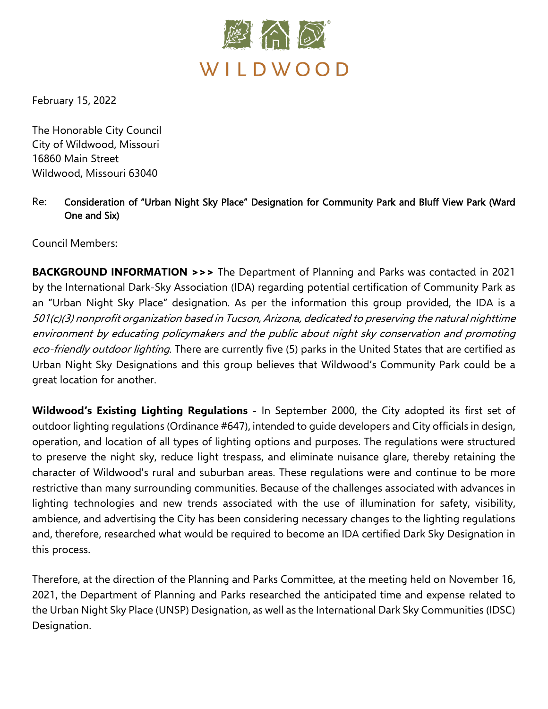

February 15, 2022

The Honorable City Council City of Wildwood, Missouri 16860 Main Street Wildwood, Missouri 63040

## Re: Consideration of "Urban Night Sky Place" Designation for Community Park and Bluff View Park (Ward One and Six)

Council Members:

**BACKGROUND INFORMATION >>>** The Department of Planning and Parks was contacted in 2021 by the International Dark-Sky Association (IDA) regarding potential certification of Community Park as an "Urban Night Sky Place" designation. As per the information this group provided, the IDA is a 501(c)(3) nonprofit organization based in Tucson, Arizona, dedicated to preserving the natural nighttime environment by educating policymakers and the public about night sky conservation and promoting eco-friendly outdoor lighting. There are currently five (5) parks in the United States that are certified as Urban Night Sky Designations and this group believes that Wildwood's Community Park could be a great location for another.

**Wildwood's Existing Lighting Regulations -** In September 2000, the City adopted its first set of outdoor lighting regulations (Ordinance #647), intended to guide developers and City officials in design, operation, and location of all types of lighting options and purposes. The regulations were structured to preserve the night sky, reduce light trespass, and eliminate nuisance glare, thereby retaining the character of Wildwood's rural and suburban areas. These regulations were and continue to be more restrictive than many surrounding communities. Because of the challenges associated with advances in lighting technologies and new trends associated with the use of illumination for safety, visibility, ambience, and advertising the City has been considering necessary changes to the lighting regulations and, therefore, researched what would be required to become an IDA certified Dark Sky Designation in this process.

Therefore, at the direction of the Planning and Parks Committee, at the meeting held on November 16, 2021, the Department of Planning and Parks researched the anticipated time and expense related to the Urban Night Sky Place (UNSP) Designation, as well as the International Dark Sky Communities (IDSC) Designation.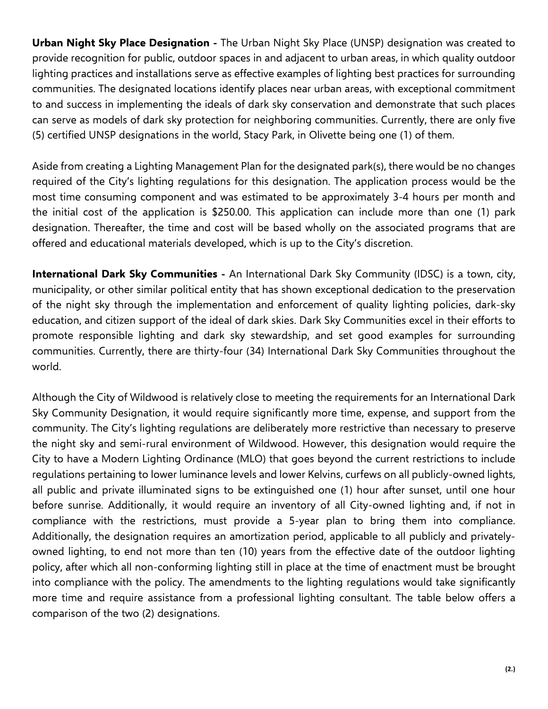**Urban Night Sky Place Designation -** The Urban Night Sky Place (UNSP) designation was created to provide recognition for public, outdoor spaces in and adjacent to urban areas, in which quality outdoor lighting practices and installations serve as effective examples of lighting best practices for surrounding communities. The designated locations identify places near urban areas, with exceptional commitment to and success in implementing the ideals of dark sky conservation and demonstrate that such places can serve as models of dark sky protection for neighboring communities. Currently, there are only five (5) certified UNSP designations in the world, Stacy Park, in Olivette being one (1) of them.

Aside from creating a Lighting Management Plan for the designated park(s), there would be no changes required of the City's lighting regulations for this designation. The application process would be the most time consuming component and was estimated to be approximately 3-4 hours per month and the initial cost of the application is \$250.00. This application can include more than one (1) park designation. Thereafter, the time and cost will be based wholly on the associated programs that are offered and educational materials developed, which is up to the City's discretion.

**International Dark Sky Communities -** An International Dark Sky Community (IDSC) is a town, city, municipality, or other similar political entity that has shown exceptional dedication to the preservation of the night sky through the implementation and enforcement of quality lighting policies, dark-sky education, and citizen support of the ideal of dark skies. Dark Sky Communities excel in their efforts to promote responsible lighting and dark sky stewardship, and set good examples for surrounding communities. Currently, there are thirty-four (34) International Dark Sky Communities throughout the world.

Although the City of Wildwood is relatively close to meeting the requirements for an International Dark Sky Community Designation, it would require significantly more time, expense, and support from the community. The City's lighting regulations are deliberately more restrictive than necessary to preserve the night sky and semi-rural environment of Wildwood. However, this designation would require the City to have a Modern Lighting Ordinance (MLO) that goes beyond the current restrictions to include regulations pertaining to lower luminance levels and lower Kelvins, curfews on all publicly-owned lights, all public and private illuminated signs to be extinguished one (1) hour after sunset, until one hour before sunrise. Additionally, it would require an inventory of all City-owned lighting and, if not in compliance with the restrictions, must provide a 5-year plan to bring them into compliance. Additionally, the designation requires an amortization period, applicable to all publicly and privatelyowned lighting, to end not more than ten (10) years from the effective date of the outdoor lighting policy, after which all non-conforming lighting still in place at the time of enactment must be brought into compliance with the policy. The amendments to the lighting regulations would take significantly more time and require assistance from a professional lighting consultant. The table below offers a comparison of the two (2) designations.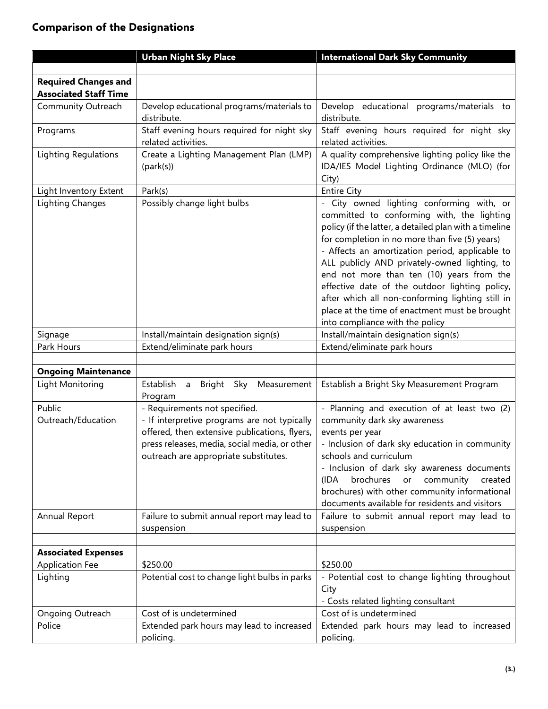## **Comparison of the Designations**

|                              | <b>Urban Night Sky Place</b>                                                           | <b>International Dark Sky Community</b>                                                                                                                                                                                                                                                                                                                                                                                                                                                                                                         |
|------------------------------|----------------------------------------------------------------------------------------|-------------------------------------------------------------------------------------------------------------------------------------------------------------------------------------------------------------------------------------------------------------------------------------------------------------------------------------------------------------------------------------------------------------------------------------------------------------------------------------------------------------------------------------------------|
|                              |                                                                                        |                                                                                                                                                                                                                                                                                                                                                                                                                                                                                                                                                 |
| <b>Required Changes and</b>  |                                                                                        |                                                                                                                                                                                                                                                                                                                                                                                                                                                                                                                                                 |
| <b>Associated Staff Time</b> |                                                                                        |                                                                                                                                                                                                                                                                                                                                                                                                                                                                                                                                                 |
| Community Outreach           | Develop educational programs/materials to<br>distribute.                               | Develop educational programs/materials to<br>distribute.                                                                                                                                                                                                                                                                                                                                                                                                                                                                                        |
| Programs                     | Staff evening hours required for night sky<br>related activities.                      | Staff evening hours required for night sky<br>related activities.                                                                                                                                                                                                                                                                                                                                                                                                                                                                               |
| Lighting Regulations         | Create a Lighting Management Plan (LMP)<br>(park(s))                                   | A quality comprehensive lighting policy like the<br>IDA/IES Model Lighting Ordinance (MLO) (for<br>City)                                                                                                                                                                                                                                                                                                                                                                                                                                        |
| Light Inventory Extent       | Park(s)                                                                                | <b>Entire City</b>                                                                                                                                                                                                                                                                                                                                                                                                                                                                                                                              |
| Lighting Changes             | Possibly change light bulbs                                                            | - City owned lighting conforming with, or<br>committed to conforming with, the lighting<br>policy (if the latter, a detailed plan with a timeline<br>for completion in no more than five (5) years)<br>- Affects an amortization period, applicable to<br>ALL publicly AND privately-owned lighting, to<br>end not more than ten (10) years from the<br>effective date of the outdoor lighting policy,<br>after which all non-conforming lighting still in<br>place at the time of enactment must be brought<br>into compliance with the policy |
| Signage                      | Install/maintain designation sign(s)                                                   | Install/maintain designation sign(s)                                                                                                                                                                                                                                                                                                                                                                                                                                                                                                            |
| Park Hours                   | Extend/eliminate park hours                                                            | Extend/eliminate park hours                                                                                                                                                                                                                                                                                                                                                                                                                                                                                                                     |
|                              |                                                                                        |                                                                                                                                                                                                                                                                                                                                                                                                                                                                                                                                                 |
| <b>Ongoing Maintenance</b>   |                                                                                        |                                                                                                                                                                                                                                                                                                                                                                                                                                                                                                                                                 |
| Light Monitoring             | Establish a Bright Sky<br>Measurement<br>Program                                       | Establish a Bright Sky Measurement Program                                                                                                                                                                                                                                                                                                                                                                                                                                                                                                      |
| Public                       | - Requirements not specified.                                                          | - Planning and execution of at least two (2)                                                                                                                                                                                                                                                                                                                                                                                                                                                                                                    |
| Outreach/Education           | - If interpretive programs are not typically                                           | community dark sky awareness                                                                                                                                                                                                                                                                                                                                                                                                                                                                                                                    |
|                              | offered, then extensive publications, flyers,                                          | events per year                                                                                                                                                                                                                                                                                                                                                                                                                                                                                                                                 |
|                              | press releases, media, social media, or other<br>outreach are appropriate substitutes. | - Inclusion of dark sky education in community<br>schools and curriculum<br>- Inclusion of dark sky awareness documents<br>brochures<br>community<br>or<br>created<br>(IDA<br>brochures) with other community informational<br>documents available for residents and visitors                                                                                                                                                                                                                                                                   |
| Annual Report                | Failure to submit annual report may lead to<br>suspension                              | Failure to submit annual report may lead to<br>suspension                                                                                                                                                                                                                                                                                                                                                                                                                                                                                       |
|                              |                                                                                        |                                                                                                                                                                                                                                                                                                                                                                                                                                                                                                                                                 |
| <b>Associated Expenses</b>   |                                                                                        |                                                                                                                                                                                                                                                                                                                                                                                                                                                                                                                                                 |
| <b>Application Fee</b>       | \$250.00                                                                               | \$250.00                                                                                                                                                                                                                                                                                                                                                                                                                                                                                                                                        |
| Lighting                     | Potential cost to change light bulbs in parks                                          | - Potential cost to change lighting throughout<br>City<br>- Costs related lighting consultant                                                                                                                                                                                                                                                                                                                                                                                                                                                   |
| Ongoing Outreach             | Cost of is undetermined                                                                | Cost of is undetermined                                                                                                                                                                                                                                                                                                                                                                                                                                                                                                                         |
| Police                       | Extended park hours may lead to increased                                              | Extended park hours may lead to increased                                                                                                                                                                                                                                                                                                                                                                                                                                                                                                       |
|                              | policing.                                                                              | policing.                                                                                                                                                                                                                                                                                                                                                                                                                                                                                                                                       |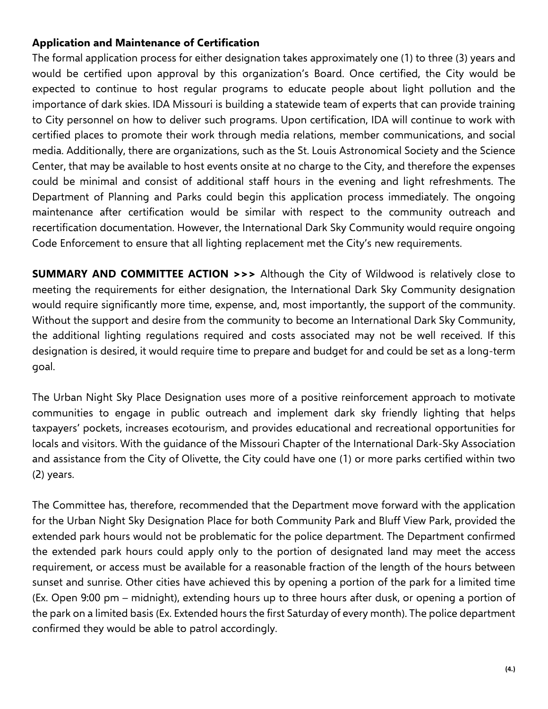## **Application and Maintenance of Certification**

The formal application process for either designation takes approximately one (1) to three (3) years and would be certified upon approval by this organization's Board. Once certified, the City would be expected to continue to host regular programs to educate people about light pollution and the importance of dark skies. IDA Missouri is building a statewide team of experts that can provide training to City personnel on how to deliver such programs. Upon certification, IDA will continue to work with certified places to promote their work through media relations, member communications, and social media. Additionally, there are organizations, such as the St. Louis Astronomical Society and the Science Center, that may be available to host events onsite at no charge to the City, and therefore the expenses could be minimal and consist of additional staff hours in the evening and light refreshments. The Department of Planning and Parks could begin this application process immediately. The ongoing maintenance after certification would be similar with respect to the community outreach and recertification documentation. However, the International Dark Sky Community would require ongoing Code Enforcement to ensure that all lighting replacement met the City's new requirements.

**SUMMARY AND COMMITTEE ACTION >>>** Although the City of Wildwood is relatively close to meeting the requirements for either designation, the International Dark Sky Community designation would require significantly more time, expense, and, most importantly, the support of the community. Without the support and desire from the community to become an International Dark Sky Community, the additional lighting regulations required and costs associated may not be well received. If this designation is desired, it would require time to prepare and budget for and could be set as a long-term goal.

The Urban Night Sky Place Designation uses more of a positive reinforcement approach to motivate communities to engage in public outreach and implement dark sky friendly lighting that helps taxpayers' pockets, increases ecotourism, and provides educational and recreational opportunities for locals and visitors. With the guidance of the Missouri Chapter of the International Dark-Sky Association and assistance from the City of Olivette, the City could have one (1) or more parks certified within two (2) years.

The Committee has, therefore, recommended that the Department move forward with the application for the Urban Night Sky Designation Place for both Community Park and Bluff View Park, provided the extended park hours would not be problematic for the police department. The Department confirmed the extended park hours could apply only to the portion of designated land may meet the access requirement, or access must be available for a reasonable fraction of the length of the hours between sunset and sunrise. Other cities have achieved this by opening a portion of the park for a limited time (Ex. Open 9:00 pm – midnight), extending hours up to three hours after dusk, or opening a portion of the park on a limited basis (Ex. Extended hours the first Saturday of every month). The police department confirmed they would be able to patrol accordingly.